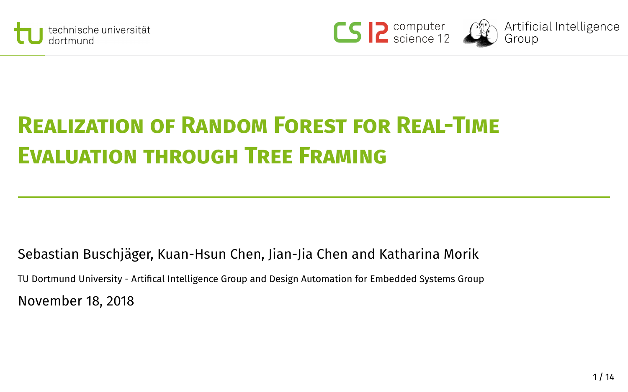





# **Realization of Random Forest for Real-Time Evaluation through Tree Framing**

Sebastian Buschjäger, Kuan-Hsun Chen, Jian-Jia Chen and Katharina Morik TU Dortmund University - Artical Intelligence Group and Design Automation for Embedded Systems Group November 18, 2018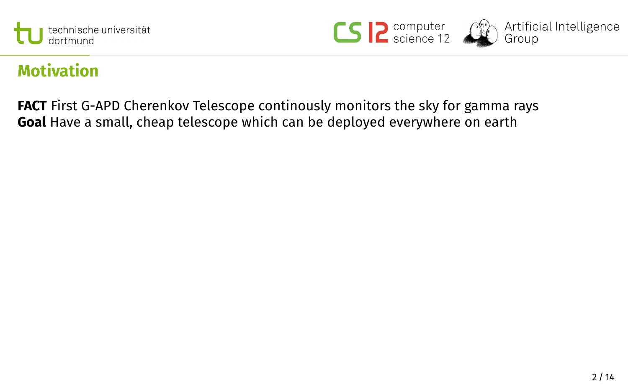





## **Motivation**

**FACT** First G-APD Cherenkov Telescope continously monitors the sky for gamma rays **Goal** Have a small, cheap telescope which can be deployed everywhere on earth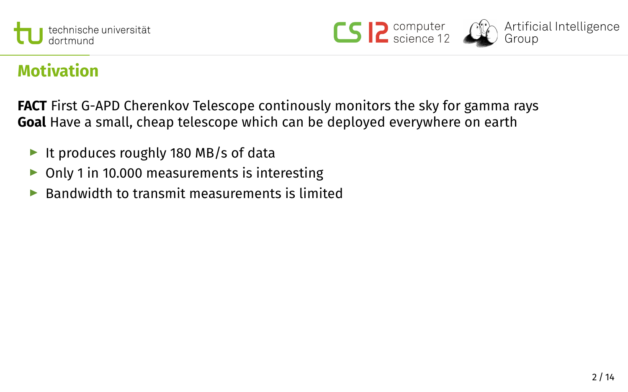





## **Motivation**

**FACT** First G-APD Cherenkov Telescope continously monitors the sky for gamma rays **Goal** Have a small, cheap telescope which can be deployed everywhere on earth

- It produces roughly 180 MB/s of data
- $\triangleright$  Only 1 in 10.000 measurements is interesting
- $\blacktriangleright$  Bandwidth to transmit measurements is limited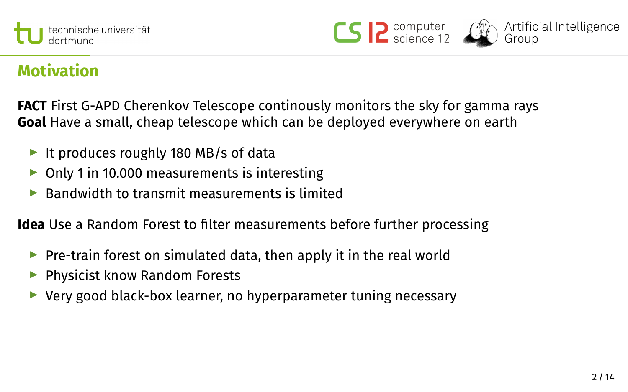





## **Motivation**

**FACT** First G-APD Cherenkov Telescope continously monitors the sky for gamma rays **Goal** Have a small, cheap telescope which can be deployed everywhere on earth

- It produces roughly 180 MB/s of data
- $\triangleright$  Only 1 in 10.000 measurements is interesting
- $\blacktriangleright$  Bandwidth to transmit measurements is limited

**Idea** Use a Random Forest to filter measurements before further processing

- $\triangleright$  Pre-train forest on simulated data, then apply it in the real world
- $\blacktriangleright$  Physicist know Random Forests
- $\triangleright$  Very good black-box learner, no hyperparameter tuning necessary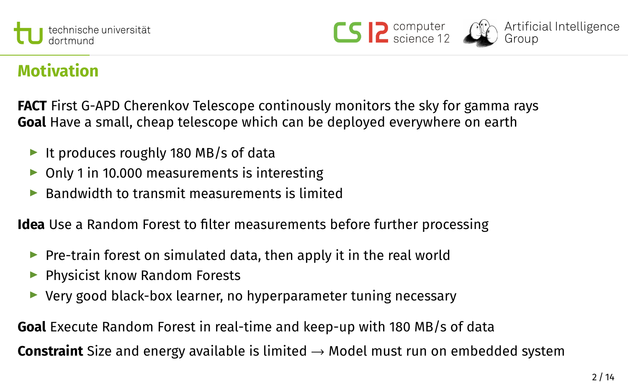





## **Motivation**

**FACT** First G-APD Cherenkov Telescope continously monitors the sky for gamma rays **Goal** Have a small, cheap telescope which can be deployed everywhere on earth

- It produces roughly 180 MB/s of data
- $\triangleright$  Only 1 in 10.000 measurements is interesting
- $\blacktriangleright$  Bandwidth to transmit measurements is limited

**Idea** Use a Random Forest to filter measurements before further processing

- $\triangleright$  Pre-train forest on simulated data, then apply it in the real world
- $\blacktriangleright$  Physicist know Random Forests
- $\triangleright$  Very good black-box learner, no hyperparameter tuning necessary

**Goal** Execute Random Forest in real-time and keep-up with 180 MB/s of data **Constraint** Size and energy available is limited → Model must run on embedded system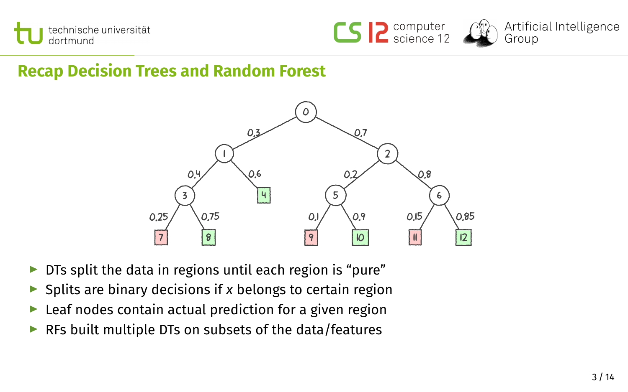





## **Recap Decision Trees and Random Forest**



- $\triangleright$  DTs split the data in regions until each region is "pure"
- ▶ Splits are binary decisions if *x* belongs to certain region
- $\blacktriangleright$  Leaf nodes contain actual prediction for a given region
- $\triangleright$  RFs built multiple DTs on subsets of the data/features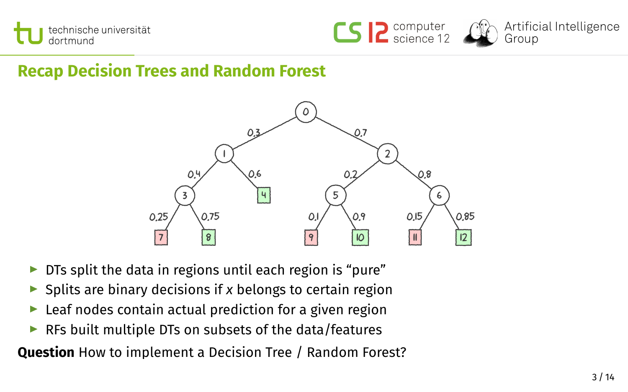





## **Recap Decision Trees and Random Forest**



- $\triangleright$  DTs split the data in regions until each region is "pure"
- ▶ Splits are binary decisions if *x* belongs to certain region
- $\blacktriangleright$  Leaf nodes contain actual prediction for a given region
- $\triangleright$  RFs built multiple DTs on subsets of the data/features

**Question** How to implement a Decision Tree / Random Forest?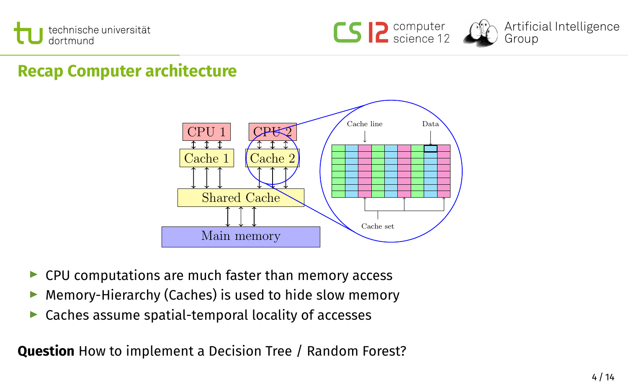





## **Recap Computer architecture**



- $\blacktriangleright$  CPU computations are much faster than memory access
- $\blacktriangleright$  Memory-Hierarchy (Caches) is used to hide slow memory
- $\triangleright$  Caches assume spatial-temporal locality of accesses

**Question** How to implement a Decision Tree / Random Forest?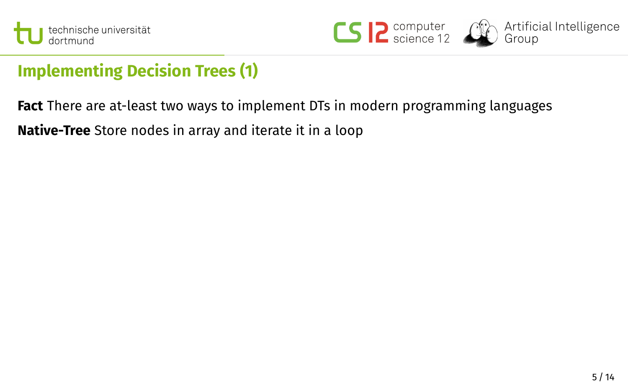



## **Implementing Decision Trees (1)**

**Fact** There are at-least two ways to implement DTs in modern programming languages **Native-Tree** Store nodes in array and iterate it in a loop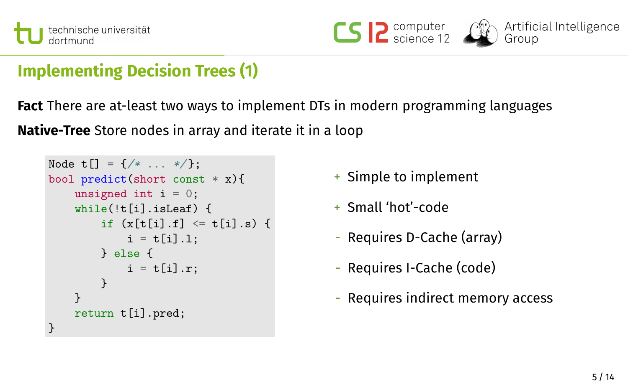





## **Implementing Decision Trees (1)**

**Fact** There are at-least two ways to implement DTs in modern programming languages **Native-Tree** Store nodes in array and iterate it in a loop

```
Node t[] = {}/ * ... *}/;
bool predict(short const * x){
    unsigned int i = 0;
    while(!t[i].isLeaf) {
        if (x[t[i], f] \leq t[i], s) {
            i = t[i].1;} else {
            i = t[i].r;}
    }
    return t[i].pred;
}
```
- + Simple to implement
- + Small 'hot'-code
- Requires D-Cache (array)
- Requires I-Cache (code)
- Requires indirect memory access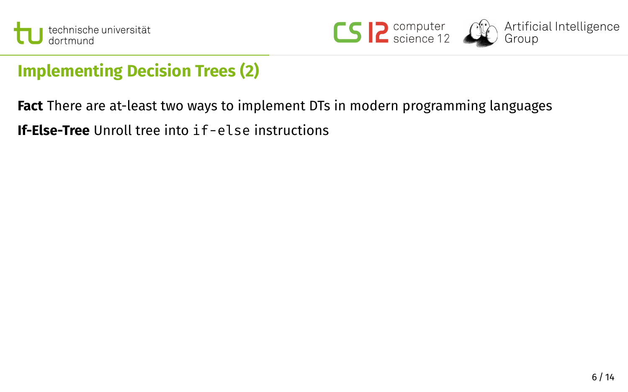



## **Implementing Decision Trees (2)**

**Fact** There are at-least two ways to implement DTs in modern programming languages **If-Else-Tree** Unroll tree into if-else instructions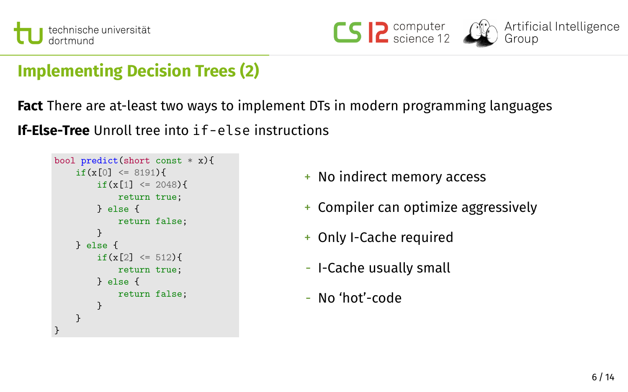





## **Implementing Decision Trees (2)**

**Fact** There are at-least two ways to implement DTs in modern programming languages **If-Else-Tree** Unroll tree into if-else instructions

```
bool predict(short const * x){
    if(x[0] \leq 8191)if(x[1] \leq 2048){
            return true;
        } else {
            return false;
        }
   } else {
        if(x[2] \leq 512)return true;
        } else {
            return false;
        }
    }
}
```
- + No indirect memory access
- + Compiler can optimize aggressively
- + Only I-Cache required
- I-Cache usually small
- No 'hot'-code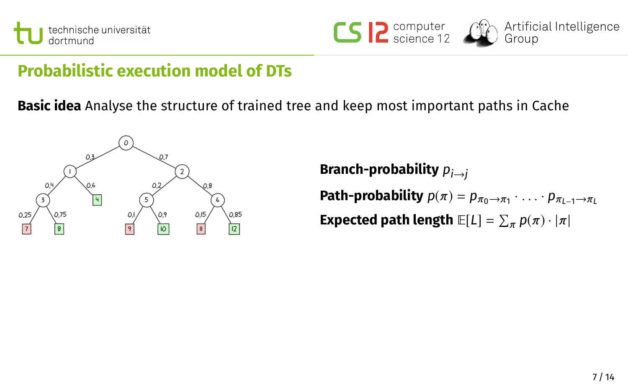





## **Probabilistic execution model of DTs**

**Basic idea** Analyse the structure of trained tree and keep most important paths in Cache



**Branch-probability**  $p_{i→i}$ **Path-probability**  $p(\pi) = p_{\pi_0 \to \pi_1} \cdot \ldots \cdot p_{\pi_{L-1} \to \pi_L}$ **Expected path length**  $\mathbb{E}[L] = \sum_{\pi} p(\pi) \cdot |\pi|$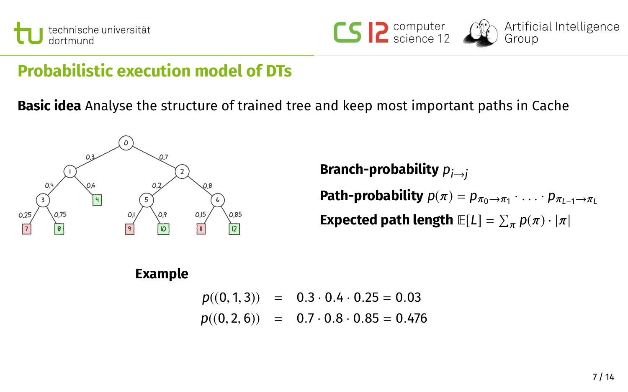



## **Probabilistic execution model of DTs**

**Basic idea** Analyse the structure of trained tree and keep most important paths in Cache



**Branch-probability**  $p_{i\rightarrow i}$ **Path-probability**  $p(\pi) = p_{\pi_0 \to \pi_1} \cdot \ldots \cdot p_{\pi_{L-1} \to \pi_L}$ **Expected path length**  $\mathbb{E}[L] = \sum_{\pi} p(\pi) \cdot |\pi|$ 

### **Example**

 $p((0, 1, 3)) = 0.3 \cdot 0.4 \cdot 0.25 = 0.03$  $p((0, 2, 6)) = 0.7 \cdot 0.8 \cdot 0.85 = 0.476$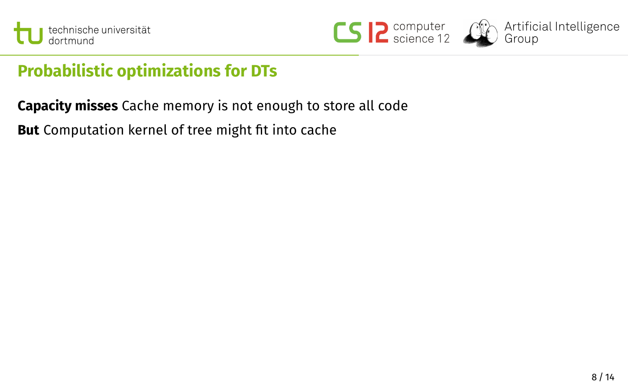





Artificial Intelligence .........<br>Group

## **Probabilistic optimizations for DTs**

**Capacity misses** Cache memory is not enough to store all code

**But** Computation kernel of tree might fit into cache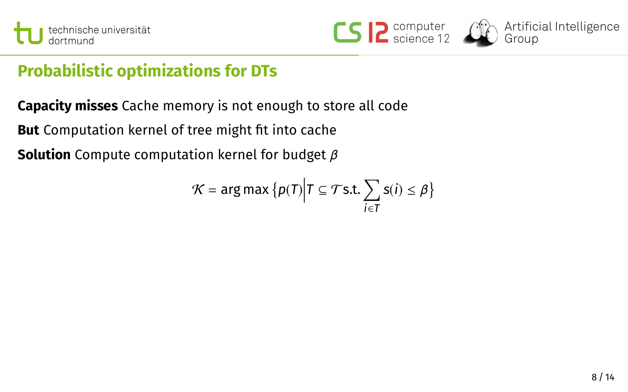





## **Probabilistic optimizations for DTs**

**Capacity misses** Cache memory is not enough to store all code

**But** Computation kernel of tree might fit into cache

**Solution** Compute computation kernel for budget β

$$
\mathcal{K} = \arg \max \big\{ p(T) \Big| T \subseteq \mathcal{T} \text{s.t.} \sum_{i \in T} \text{s}(i) \leq \beta \big\}
$$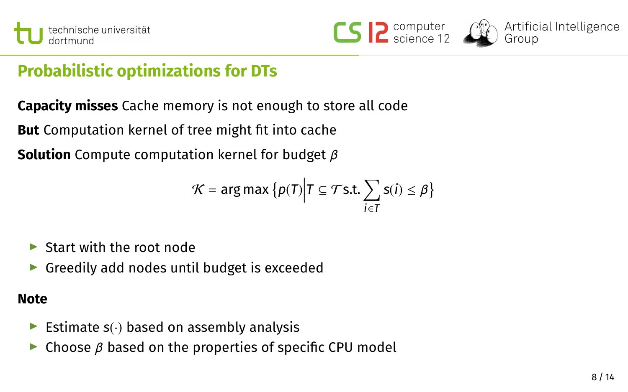





## **Probabilistic optimizations for DTs**

**Capacity misses** Cache memory is not enough to store all code

**But** Computation kernel of tree might fit into cache

**Solution** Compute computation kernel for budget β

$$
\mathcal{K} = \arg \max \big\{ p(T) \Big| T \subseteq \mathcal{T} \text{s.t.} \sum_{i \in T} \text{s}(i) \leq \beta \big\}
$$

- $\blacktriangleright$  Start with the root node
- $\triangleright$  Greedily add nodes until budget is exceeded

### **Note**

- Estimate  $s(\cdot)$  based on assembly analysis
- $\triangleright$  Choose  $\beta$  based on the properties of specific CPU model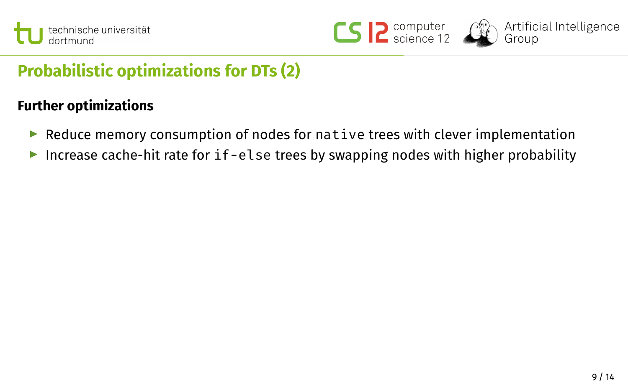





## **Probabilistic optimizations for DTs (2)**

### **Further optimizations**

- Reduce memory consumption of nodes for native trees with clever implementation
- Increase cache-hit rate for  $if$ -else trees by swapping nodes with higher probability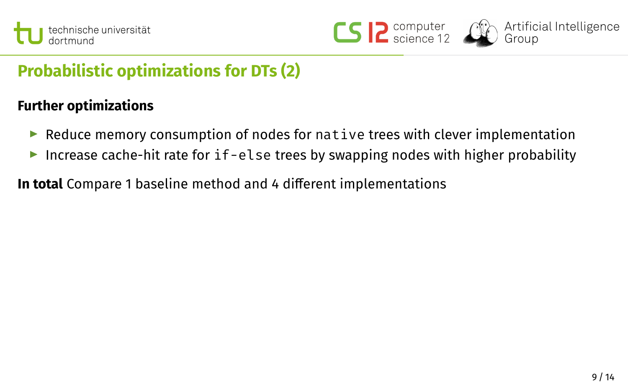





## **Probabilistic optimizations for DTs (2)**

### **Further optimizations**

- $\blacktriangleright$  Reduce memory consumption of nodes for native trees with clever implementation
- Increase cache-hit rate for  $if$ -else trees by swapping nodes with higher probability
- **In total** Compare 1 baseline method and 4 different implementations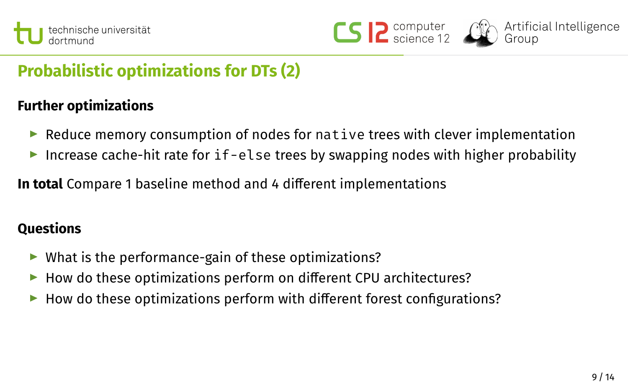





## **Probabilistic optimizations for DTs (2)**

### **Further optimizations**

- $\triangleright$  Reduce memory consumption of nodes for native trees with clever implementation
- Increase cache-hit rate for  $if$ -else trees by swapping nodes with higher probability

**In total** Compare 1 baseline method and 4 different implementations

### **Questions**

- $\triangleright$  What is the performance-gain of these optimizations?
- $\blacktriangleright$  How do these optimizations perform on different CPU architectures?
- $\blacktriangleright$  How do these optimizations perform with different forest configurations?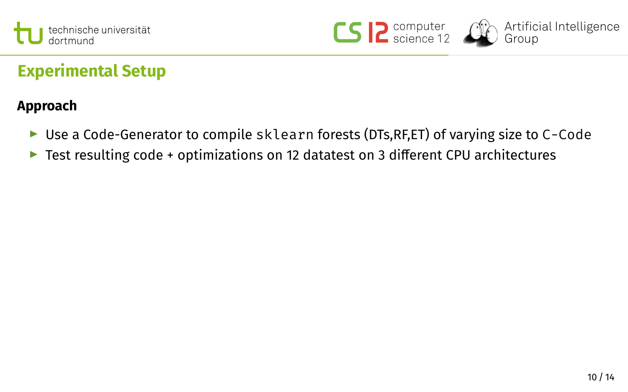



## **Experimental Setup**

### **Approach**

- $\triangleright$  Use a Code-Generator to compile sklearn forests (DTs, RF, ET) of varying size to C-Code
- External Test resulting code + optimizations on 12 datatest on 3 different CPU architectures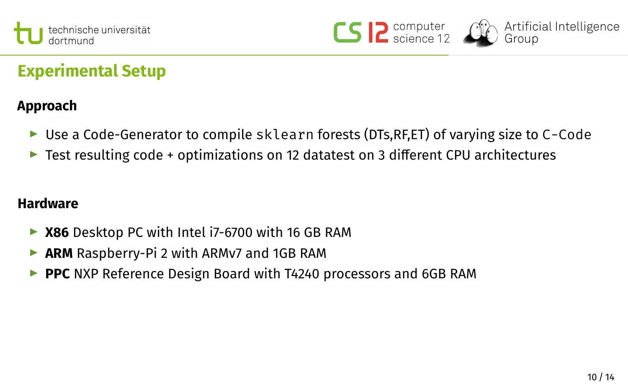





## **Experimental Setup**

### **Approach**

- $\triangleright$  Use a Code-Generator to compile sklearn forests (DTs, RF, ET) of varying size to C-Code
- $\triangleright$  Test resulting code + optimizations on 12 datatest on 3 different CPU architectures

### **Hardware**

- ▶ X86 Desktop PC with Intel i7-6700 with 16 GB RAM
- ▶ ARM Raspberry-Pi 2 with ARMv7 and 1GB RAM
- ▶ PPC NXP Reference Design Board with T4240 processors and 6GB RAM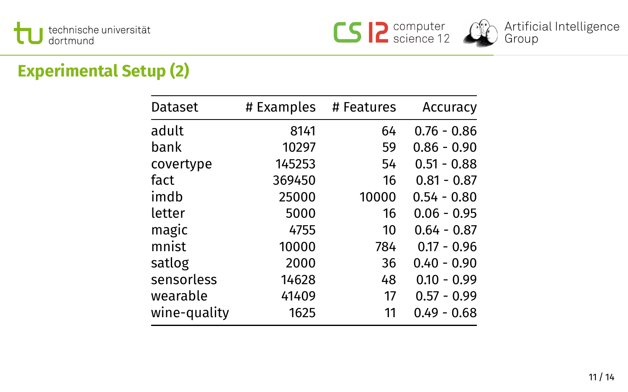





## **Experimental Setup (2)**

| Dataset      | # Examples | # Features | Accuracv      |
|--------------|------------|------------|---------------|
| adult        | 8141       | 64         | $0.76 - 0.86$ |
| bank         | 10297      | 59         | $0.86 - 0.90$ |
| covertype    | 145253     | 54         | $0.51 - 0.88$ |
| fact         | 369450     | 16         | $0.81 - 0.87$ |
| imdb         | 25000      | 10000      | $0.54 - 0.80$ |
| letter       | 5000       | 16         | $0.06 - 0.95$ |
| magic        | 4755       | 10         | $0.64 - 0.87$ |
| mnist        | 10000      | 784        | $0.17 - 0.96$ |
| satlog       | 2000       | 36         | $0.40 - 0.90$ |
| sensorless   | 14628      | 48         | $0.10 - 0.99$ |
| wearable     | 41409      | 17         | $0.57 - 0.99$ |
| wine-quality | 1625       | 11         | $0.49 - 0.68$ |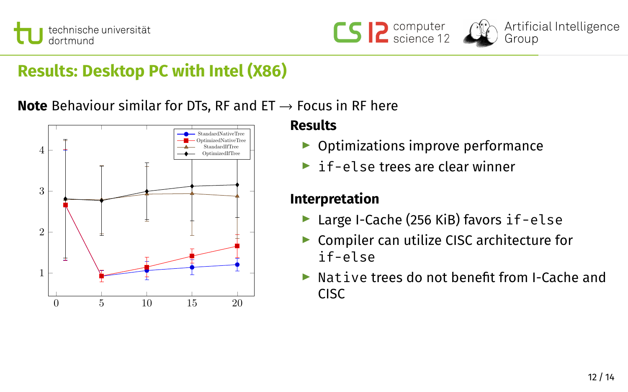





## **Results: Desktop PC with Intel (X86)**

**Note** Behaviour similar for DTs, RF and ET → Focus in RF here



### **Results**

- $\triangleright$  Optimizations improve performance
- $\blacktriangleright$  if-else trees are clear winner

### **Interpretation**

- $\blacktriangleright$  Large I-Cache (256 KiB) favors if-else
- $\triangleright$  Compiler can utilize CISC architecture for if-else
- Native trees do not benefit from I-Cache and CISC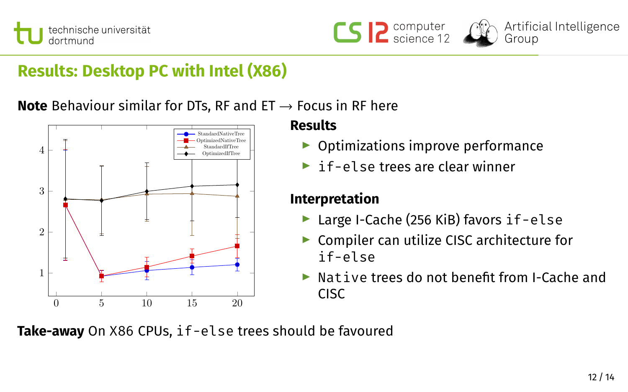





## **Results: Desktop PC with Intel (X86)**

**Note** Behaviour similar for DTs, RF and ET → Focus in RF here



### **Results**

- $\triangleright$  Optimizations improve performance
- $\blacktriangleright$  if-else trees are clear winner

### **Interpretation**

- $\blacktriangleright$  Large I-Cache (256 KiB) favors if-else
- $\blacktriangleright$  Compiler can utilize CISC architecture for if-else
- Native trees do not benefit from I-Cache and CISC

**Take-away** On X86 CPUs, if-else trees should be favoured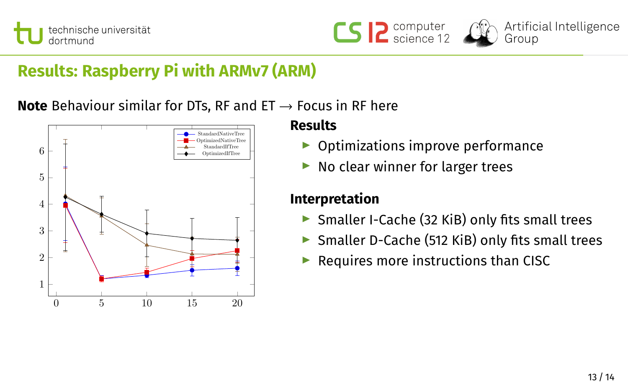





## **Results: Raspberry Pi with ARMv7 (ARM)**

**Note** Behaviour similar for DTs, RF and ET → Focus in RF here



### **Results**

- $\triangleright$  Optimizations improve performance
- $\blacktriangleright$  No clear winner for larger trees

### **Interpretation**

- $\triangleright$  Smaller I-Cache (32 KiB) only fits small trees
- $\triangleright$  Smaller D-Cache (512 KiB) only fits small trees
- $\blacktriangleright$  Requires more instructions than CISC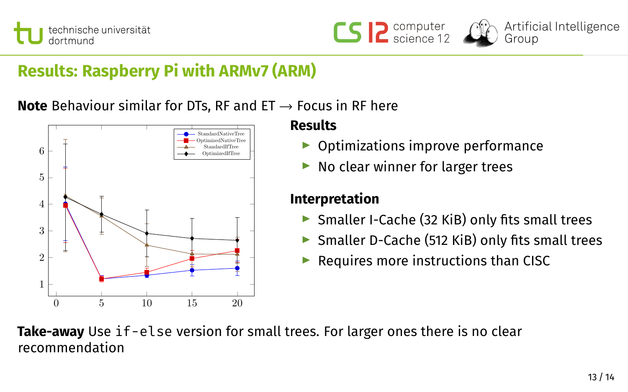





## **Results: Raspberry Pi with ARMv7 (ARM)**

**Note** Behaviour similar for DTs, RF and ET → Focus in RF here



### **Results**

- $\triangleright$  Optimizations improve performance
- $\blacktriangleright$  No clear winner for larger trees

### **Interpretation**

- $\triangleright$  Smaller I-Cache (32 KiB) only fits small trees
- $\triangleright$  Smaller D-Cache (512 KiB) only fits small trees
- $\blacktriangleright$  Requires more instructions than CISC

### **Take-away** Use if-else version for small trees. For larger ones there is no clear recommendation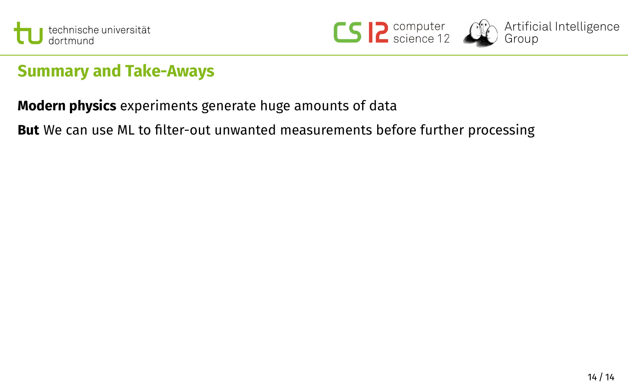





Artificial Intelligence .........<br>Group

## **Summary and Take-Aways**

**Modern physics** experiments generate huge amounts of data

**But** We can use ML to filter-out unwanted measurements before further processing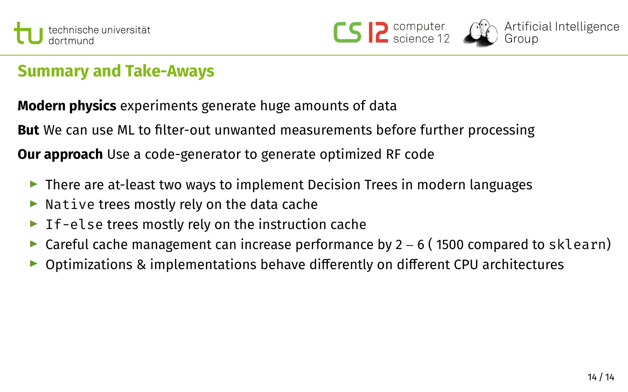





## **Summary and Take-Aways**

**Modern physics** experiments generate huge amounts of data

**But** We can use ML to filter-out unwanted measurements before further processing

**Our approach** Use a code-generator to generate optimized RF code

- $\blacktriangleright$  There are at-least two ways to implement Decision Trees in modern languages
- $\blacktriangleright$  Native trees mostly rely on the data cache
- $\blacktriangleright$  If-else trees mostly rely on the instruction cache
- ► Careful cache management can increase performance by 2 6 (1500 compared to sklearn)
- $\triangleright$  Optimizations & implementations behave differently on different CPU architectures